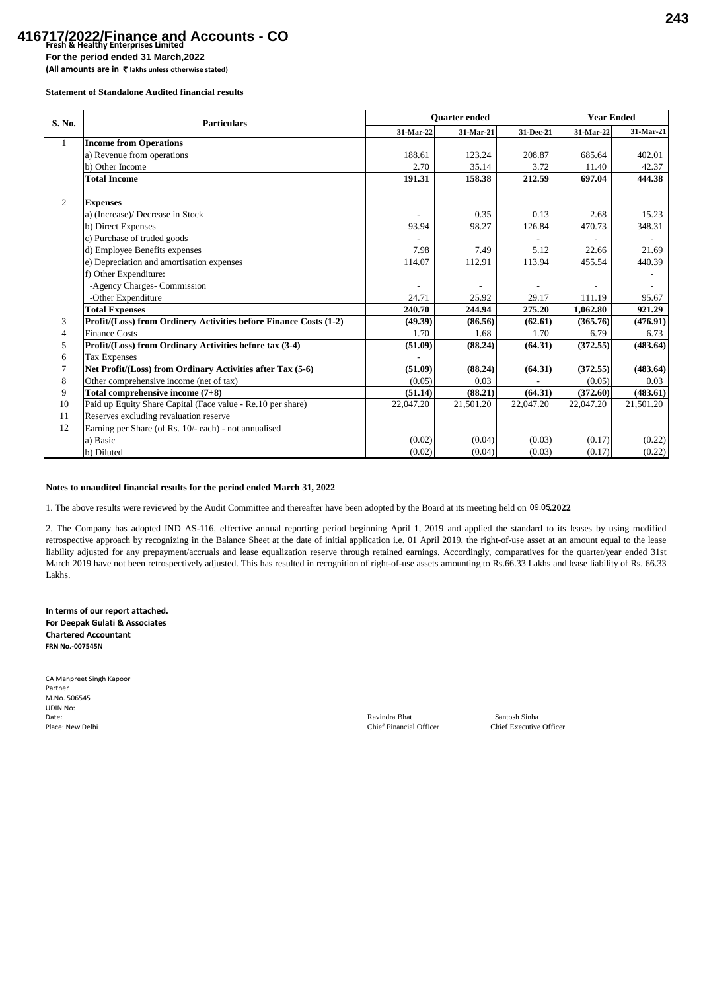## **Fresh & Healthy Enterprises Limited 416717/2022/Finance and Accounts - CO**

**For the period ended 31 March,2022**

**(All amounts are in** ` **lakhs unless otherwise stated)**

**Statement of Standalone Audited financial results**

| S. No.         | <b>Particulars</b>                                                | <b>Ouarter</b> ended |           |           | <b>Year Ended</b> |           |
|----------------|-------------------------------------------------------------------|----------------------|-----------|-----------|-------------------|-----------|
|                |                                                                   | 31 Mar 22            | 31-Mar-21 | 31-Dec-21 | 31-Mar-22         | 31-Mar-21 |
| $\mathbf{1}$   | <b>Income from Operations</b>                                     |                      |           |           |                   |           |
|                | a) Revenue from operations                                        | 188.61               | 123.24    | 208.87    | 685.64            | 402.01    |
|                | b) Other Income                                                   | 2.70                 | 35.14     | 3.72      | 11.40             | 42.37     |
|                | <b>Total Income</b>                                               | 191.31               | 158.38    | 212.59    | 697.04            | 444.38    |
|                |                                                                   |                      |           |           |                   |           |
| 2              | <b>Expenses</b>                                                   |                      |           |           |                   |           |
|                | a) (Increase)/ Decrease in Stock                                  |                      | 0.35      | 0.13      | 2.68              | 15.23     |
|                | b) Direct Expenses                                                | 93.94                | 98.27     | 126.84    | 470.73            | 348.31    |
|                | c) Purchase of traded goods                                       |                      |           |           |                   |           |
|                | d) Employee Benefits expenses                                     | 7.98                 | 7.49      | 5.12      | 22.66             | 21.69     |
|                | e) Depreciation and amortisation expenses                         | 114.07               | 112.91    | 113.94    | 455.54            | 440.39    |
|                | f) Other Expenditure:                                             |                      |           |           |                   |           |
|                | -Agency Charges- Commission                                       |                      |           |           |                   |           |
|                | -Other Expenditure                                                | 24.71                | 25.92     | 29.17     | 111.19            | 95.67     |
|                | <b>Total Expenses</b>                                             | 240.70               | 244.94    | 275.20    | 1.062.80          | 921.29    |
| 3              | Profit/(Loss) from Ordinery Activities before Finance Costs (1-2) | (49.39)              | (86.56)   | (62.61)   | (365.76)          | (476.91)  |
| $\overline{4}$ | <b>Finance Costs</b>                                              | 1.70                 | 1.68      | 1.70      | 6.79              | 6.73      |
| 5              | Profit/(Loss) from Ordinary Activities before tax (3-4)           | (51.09)              | (88.24)   | (64.31)   | (372.55)          | (483.64)  |
| 6              | <b>Tax Expenses</b>                                               |                      |           |           |                   |           |
|                | Net Profit/(Loss) from Ordinary Activities after Tax (5-6)        | (51.09)              | (88.24)   | (64.31)   | (372.55)          | (483.64)  |
| 8              | Other comprehensive income (net of tax)                           | (0.05)               | 0.03      |           | (0.05)            | 0.03      |
| 9              | Total comprehensive income (7+8)                                  | (51.14)              | (88.21)   | (64.31)   | (372.60)          | (483.61)  |
| 10             | Paid up Equity Share Capital (Face value - Re.10 per share)       | 22,047.20            | 21,501.20 | 22,047.20 | 22,047.20         | 21,501.20 |
| 11             | Reserves excluding revaluation reserve                            |                      |           |           |                   |           |
| 12             | Earning per Share (of Rs. 10/- each) - not annualised             |                      |           |           |                   |           |
|                | a) Basic                                                          | (0.02)               | (0.04)    | (0.03)    | (0.17)            | (0.22)    |
|                | b) Diluted                                                        | (0.02)               | (0.04)    | (0.03)    | (0.17)            | (0.22)    |

## **Notes to unaudited financial results for the period ended March 31, 2022**

1. The above results were reviewed by the Audit Committee and thereafter have been adopted by the Board at its meeting held on 09.05.2022

2. The Company has adopted IND AS-116, effective annual reporting period beginning April 1, 2019 and applied the standard to its leases by using modified retrospective approach by recognizing in the Balance Sheet at the date of initial application i.e. 01 April 2019, the right-of-use asset at an amount equal to the lease liability adjusted for any prepayment/accruals and lease equalization reserve through retained earnings. Accordingly, comparatives for the quarter/year ended 31st March 2019 have not been retrospectively adjusted. This has resulted in recognition of right-of-use assets amounting to Rs.66.33 Lakhs and lease liability of Rs. 66.33 Lakhs.

**In terms of our report attached. For Deepak Gulati & Associates Chartered Accountant FRN No.-007545N**

| CA Manpreet Singh Kapoor |                                |                       |
|--------------------------|--------------------------------|-----------------------|
| Partner                  |                                |                       |
| M.No. 506545             |                                |                       |
| UDIN No:                 |                                |                       |
| Date:                    | Ravindra Bhat                  | Santosh Sinha         |
| Place: New Delhi         | <b>Chief Financial Officer</b> | <b>Chief Executiv</b> |

Place: Chief Financial Officer Chief Executive Officer